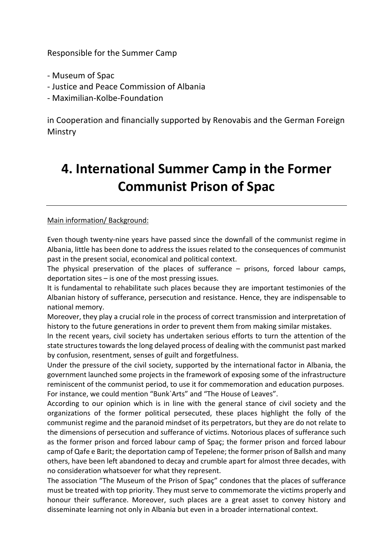Responsible for the Summer Camp

- Museum of Spac
- Justice and Peace Commission of Albania
- Maximilian-Kolbe-Foundation

in Cooperation and financially supported by Renovabis and the German Foreign **Minstry** 

## **4. International Summer Camp in the Former Communist Prison of Spac**

## Main information/ Background:

Even though twenty-nine years have passed since the downfall of the communist regime in Albania, little has been done to address the issues related to the consequences of communist past in the present social, economical and political context.

The physical preservation of the places of sufferance – prisons, forced labour camps, deportation sites – is one of the most pressing issues.

It is fundamental to rehabilitate such places because they are important testimonies of the Albanian history of sufferance, persecution and resistance. Hence, they are indispensable to national memory.

Moreover, they play a crucial role in the process of correct transmission and interpretation of history to the future generations in order to prevent them from making similar mistakes.

In the recent years, civil society has undertaken serious efforts to turn the attention of the state structures towards the long delayed process of dealing with the communist past marked by confusion, resentment, senses of guilt and forgetfulness.

Under the pressure of the civil society, supported by the international factor in Albania, the government launched some projects in the framework of exposing some of the infrastructure reminiscent of the communist period, to use it for commemoration and education purposes. For instance, we could mention "Bunk`Arts" and "The House of Leaves".

According to our opinion which is in line with the general stance of civil society and the organizations of the former political persecuted, these places highlight the folly of the communist regime and the paranoid mindset of its perpetrators, but they are do not relate to the dimensions of persecution and sufferance of victims. Notorious places of sufferance such as the former prison and forced labour camp of Spaç; the former prison and forced labour camp of Qafe e Barit; the deportation camp of Tepelene; the former prison of Ballsh and many others, have been left abandoned to decay and crumble apart for almost three decades, with no consideration whatsoever for what they represent.

The association "The Museum of the Prison of Spaç" condones that the places of sufferance must be treated with top priority. They must serve to commemorate the victims properly and honour their sufferance. Moreover, such places are a great asset to convey history and disseminate learning not only in Albania but even in a broader international context.